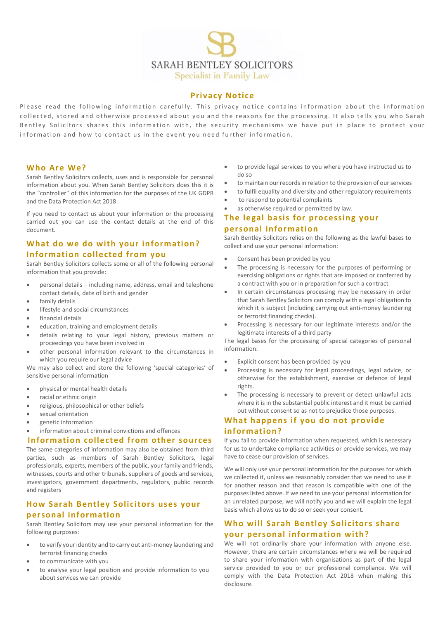

### **Privacy Notice**

Please read the following information carefully. This privacy notice contains information about the information collected, stored and otherwise processed about you and the reasons for the processing. It also tells you who Sarah Bentley Solicitors shares this information with, the security mechanisms we have put in place to protect your information and how to contact us in the event you need further information.

### **Who Are We?**

Sarah Bentley Solicitors collects, uses and is responsible for personal information about you. When Sarah Bentley Solicitors does this it is the "controller" of this information for the purposes of the UK GDPR and the Data Protection Act 2018

If you need to contact us about your information or the processing carried out you can use the contact details at the end of this document.

# **What do we do with your information? Information collected from you**

Sarah Bentley Solicitors collects some or all of the following personal information that you provide:

- personal details including name, address, email and telephone contact details, date of birth and gender
- family details
- lifestyle and social circumstances
- financial details
- education, training and employment details
- details relating to your legal history, previous matters or proceedings you have been involved in
- other personal information relevant to the circumstances in which you require our legal advice

We may also collect and store the following 'special categories' of sensitive personal information

- physical or mental health details
- racial or ethnic origin
- religious, philosophical or other beliefs
- sexual orientation
- genetic information
- information about criminal convictions and offences

### **Information collected from other sources**

The same categories of information may also be obtained from third parties, such as members of Sarah Bentley Solicitors, legal professionals, experts, members of the public, your family and friends, witnesses, courts and other tribunals, suppliers of goods and services, investigators, government departments, regulators, public records and registers

## **How Sarah Bentley Solicitors uses your personal information**

Sarah Bentley Solicitors may use your personal information for the following purposes:

- to verify your identity and to carry out anti-money laundering and terrorist financing checks
- to communicate with you
- to analyse your legal position and provide information to you about services we can provide
- to provide legal services to you where you have instructed us to do so
- to maintain our records in relation to the provision of our services
- to fulfil equality and diversity and other regulatory requirements
- to respond to potential complaints
- as otherwise required or permitted by law.

## **The legal basis for processing your personal information**

Sarah Bentley Solicitors relies on the following as the lawful bases to collect and use your personal information:

- Consent has been provided by you
- The processing is necessary for the purposes of performing or exercising obligations or rights that are imposed or conferred by a contract with you or in preparation for such a contract
- In certain circumstances processing may be necessary in order that Sarah Bentley Solicitors can comply with a legal obligation to which it is subject (including carrying out anti-money laundering or terrorist financing checks).
- Processing is necessary for our legitimate interests and/or the legitimate interests of a third party

The legal bases for the processing of special categories of personal information:

- Explicit consent has been provided by you
- Processing is necessary for legal proceedings, legal advice, or otherwise for the establishment, exercise or defence of legal rights.
- The processing is necessary to prevent or detect unlawful acts where it is in the substantial public interest and it must be carried out without consent so as not to prejudice those purposes.

# **What happens if you do not provide information?**

If you fail to provide information when requested, which is necessary for us to undertake compliance activities or provide services, we may have to cease our provision of services.

We will only use your personal information for the purposes for which we collected it, unless we reasonably consider that we need to use it for another reason and that reason is compatible with one of the purposes listed above. If we need to use your personal information for an unrelated purpose, we will notify you and we will explain the legal basis which allows us to do so or seek your consent.

## **Who will Sarah Bentley Solicitors share your personal information with?**

We will not ordinarily share your information with anyone else. However, there are certain circumstances where we will be required to share your information with organisations as part of the legal service provided to you or our professional compliance. We will comply with the Data Protection Act 2018 when making this disclosure.